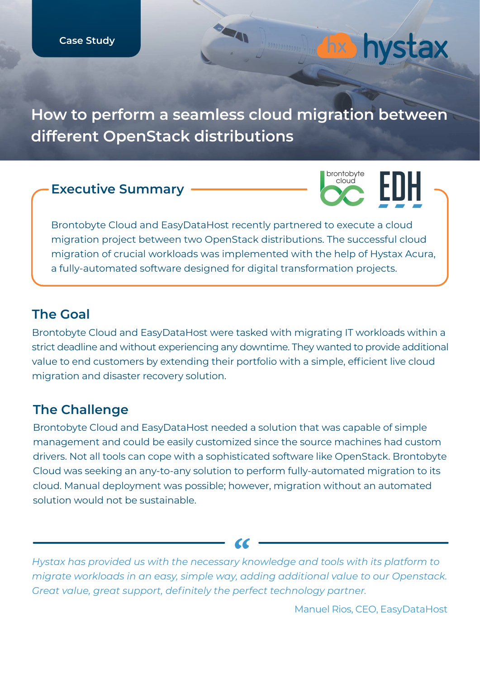**How to perform a seamless cloud migration between different OpenStack distributions**

**SEAL** 

#### **Executive Summary**



**hx** hystax

Brontobyte Cloud and EasyDataHost recently partnered to execute a cloud migration project between two OpenStack distributions. The successful cloud migration of crucial workloads was implemented with the help of Hystax Acura, a fully-automated software designed for digital transformation projects.

### **The Goal**

Brontobyte Cloud and EasyDataHost were tasked with migrating IT workloads within a strict deadline and without experiencing any downtime. They wanted to provide additional value to end customers by extending their portfolio with a simple, efficient live cloud migration and disaster recovery solution.

#### **The Challenge**

Brontobyte Cloud and EasyDataHost needed a solution that was capable of simple management and could be easily customized since the source machines had custom drivers. Not all tools can cope with a sophisticated software like OpenStack. Brontobyte Cloud was seeking an any-to-any solution to perform fully-automated migration to its cloud. Manual deployment was possible; however, migration without an automated solution would not be sustainable.

*Hystax has provided us with the necessary knowledge and tools with its platform to migrate workloads in an easy, simple way, adding additional value to our Openstack. Great value, great support, definitely the perfect technology partner.*

Manuel Rios, CEO, EasyDataHost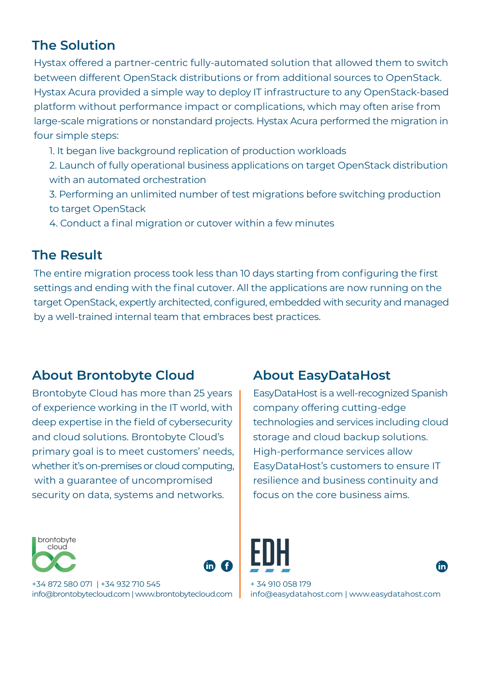# **The Solution**

Hystax offered a partner-centric fully-automated solution that allowed them to switch between different OpenStack distributions or from additional sources to OpenStack. Hystax Acura provided a simple way to deploy IT infrastructure to any OpenStack-based platform without performance impact or complications, which may often arise from large-scale migrations or nonstandard projects. Hystax Acura performed the migration in four simple steps:

- 1. It began live background replication of production workloads
- 2. Launch of fully operational business applications on target OpenStack distribution with an automated orchestration
- 3. Performing an unlimited number of test migrations before switching production to target OpenStack
- 4. Conduct a final migration or cutover within a few minutes

# **The Result**

The entire migration process took less than 10 days starting from configuring the first settings and ending with the final cutover. All the applications are now running on the target OpenStack, expertly architected, configured, embedded with security and managed by a well-trained internal team that embraces best practices.

## **About Brontobyte Cloud About EasyDataHost**

Brontobyte Cloud has more than 25 years of experience working in the IT world, with deep expertise in the field of cybersecurity and cloud solutions. Brontobyte Cloud's primary goal is to meet customers' needs, whether it's on-premises or cloud computing, with a guarantee of uncompromised security on data, systems and networks.





+34 872 580 071 | +34 932 710 545 [info@brontobytecloud.com](mailto:info@brontobytecloud.com) [| www.brontobytecloud.com](www.brontobytecloud.com/)

EasyDataHost is a well-recognized Spanish company offering cutting-edge technologies and services including cloud storage and cloud backup solutions. High-performance services allow EasyDataHost's customers to ensure IT resilience and business continuity and focus on the core business aims.



+ 34 910 058 179 [info@easydatahost.com](mailto:info@easydatahost.com) |<www.easydatahost.com>

fin